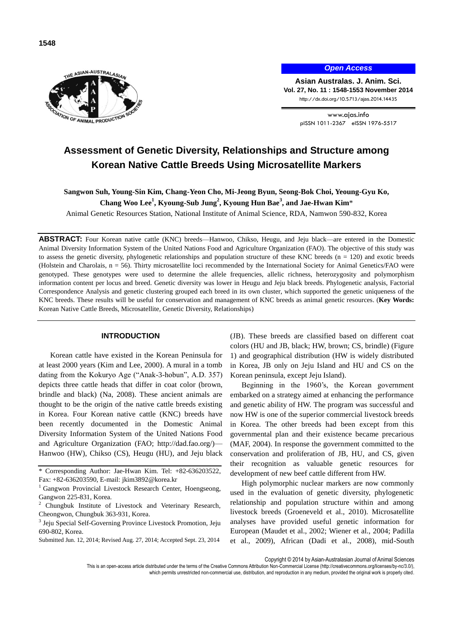

ON OF ANIMAL PRODUCT

**1548**

*Open Access*

**Asian Australas. J. Anim. Sci. Vol. 27, No. 11 : 1548-1553 November 2014** http://dx.doi.org/10.5713/ajas.2014.14435

> www.ajas.info pISSN 1011-2367 eISSN 1976-5517

# **Assessment of Genetic Diversity, Relationships and Structure among Korean Native Cattle Breeds Using Microsatellite Markers**

**Sangwon Suh, Young-Sin Kim, Chang-Yeon Cho, Mi-Jeong Byun, Seong-Bok Choi, Yeoung-Gyu Ko,** 

**Chang Woo Lee<sup>1</sup> , Kyoung-Sub Jung<sup>2</sup> , Kyoung Hun Bae<sup>3</sup> , and Jae-Hwan Kim**\*

Animal Genetic Resources Station, National Institute of Animal Science, RDA, Namwon 590-832, Korea

**ABSTRACT:** Four Korean native cattle (KNC) breeds—Hanwoo, Chikso, Heugu, and Jeju black—are entered in the Domestic Animal Diversity Information System of the United Nations Food and Agriculture Organization (FAO). The objective of this study was to assess the genetic diversity, phylogenetic relationships and population structure of these KNC breeds  $(n = 120)$  and exotic breeds (Holstein and Charolais, n = 56). Thirty microsatellite loci recommended by the International Society for Animal Genetics/FAO were genotyped. These genotypes were used to determine the allele frequencies, allelic richness, heterozygosity and polymorphism information content per locus and breed. Genetic diversity was lower in Heugu and Jeju black breeds. Phylogenetic analysis, Factorial Correspondence Analysis and genetic clustering grouped each breed in its own cluster, which supported the genetic uniqueness of the KNC breeds. These results will be useful for conservation and management of KNC breeds as animal genetic resources. (**Key Words:** Korean Native Cattle Breeds, Microsatellite, Genetic Diversity, Relationships)

# **INTRODUCTION**

Korean cattle have existed in the Korean Peninsula for at least 2000 years (Kim and Lee, 2000). A mural in a tomb dating from the Kokuryo Age ("Anak-3-hobun", A.D. 357) depicts three cattle heads that differ in coat color (brown, brindle and black) (Na, 2008). These ancient animals are thought to be the origin of the native cattle breeds existing in Korea. Four Korean native cattle (KNC) breeds have been recently documented in the Domestic Animal Diversity Information System of the United Nations Food and Agriculture Organization (FAO; http://dad.fao.org/)— Hanwoo (HW), Chikso (CS), Heugu (HU), and Jeju black (JB). These breeds are classified based on different coat colors (HU and JB, black; HW, brown; CS, brindle) (Figure 1) and geographical distribution (HW is widely distributed in Korea, JB only on Jeju Island and HU and CS on the Korean peninsula, except Jeju Island).

Beginning in the 1960's, the Korean government embarked on a strategy aimed at enhancing the performance and genetic ability of HW. The program was successful and now HW is one of the superior commercial livestock breeds in Korea. The other breeds had been except from this governmental plan and their existence became precarious (MAF, 2004). In response the government committed to the conservation and proliferation of JB, HU, and CS, given their recognition as valuable genetic resources for development of new beef cattle different from HW.

High polymorphic nuclear markers are now commonly used in the evaluation of genetic diversity, phylogenetic relationship and population structure within and among livestock breeds (Groeneveld et al., 2010). Microsatellite analyses have provided useful genetic information for European (Maudet et al., 2002; Wiener et al., 2004; Padilla et al., 2009), African (Dadi et al., 2008), mid-South

Copyright © 2014 by Asian-Australasian Journal of Animal Sciences

<sup>\*</sup> Corresponding Author: Jae-Hwan Kim. Tel: +82-636203522, Fax: +82-636203590, E-mail: jkim3892@korea.kr

<sup>&</sup>lt;sup>1</sup> Gangwon Provincial Livestock Research Center, Hoengseong, Gangwon 225-831, Korea.

<sup>&</sup>lt;sup>2</sup> Chungbuk Institute of Livestock and Veterinary Research, Cheongwon, Chungbuk 363-931, Korea.

<sup>&</sup>lt;sup>3</sup> Jeju Special Self-Governing Province Livestock Promotion, Jeju 690-802, Korea.

Submitted Jun. 12, 2014; Revised Aug. 27, 2014; Accepted Sept. 23, 2014

This is an open-access article distributed under the terms of the Creative Commons Attribution Non-Commercial License [\(http://creativecommons.org/licenses/by-nc/3.0/\),](http://creativecommons.org/licenses/by-nc/3.0/) which permits unrestricted non-commercial use, distribution, and reproduction in any medium, provided the original work is properly cited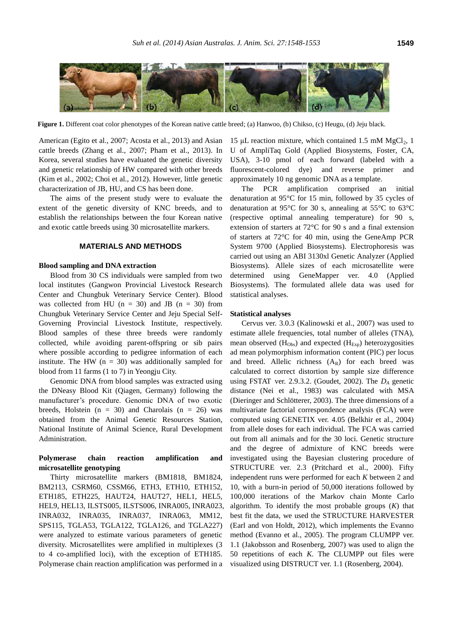

**Figure 1.** Different coat color phenotypes of the Korean native cattle breed; (a) Hanwoo, (b) Chikso, (c) Heugu, (d) Jeju black.

American (Egito et al., 2007; Acosta et al., 2013) and Asian cattle breeds (Zhang et al., 2007; Pham et al., 2013). In Korea, several studies have evaluated the genetic diversity and genetic relationship of HW compared with other breeds (Kim et al., 2002; Choi et al., 2012). However, little genetic characterization of JB, HU, and CS has been done.

The aims of the present study were to evaluate the extent of the genetic diversity of KNC breeds, and to establish the relationships between the four Korean native and exotic cattle breeds using 30 microsatellite markers.

# **MATERIALS AND METHODS**

#### **Blood sampling and DNA extraction**

Blood from 30 CS individuals were sampled from two local institutes (Gangwon Provincial Livestock Research Center and Chungbuk Veterinary Service Center). Blood was collected from HU ( $n = 30$ ) and JB ( $n = 30$ ) from Chungbuk Veterinary Service Center and Jeju Special Self-Governing Provincial Livestock Institute, respectively. Blood samples of these three breeds were randomly collected, while avoiding parent-offspring or sib pairs where possible according to pedigree information of each institute. The HW ( $n = 30$ ) was additionally sampled for blood from 11 farms (1 to 7) in Yeongju City.

Genomic DNA from blood samples was extracted using the DNeasy Blood Kit (Qiagen, Germany) following the manufacturer's procedure. Genomic DNA of two exotic breeds, Holstein  $(n = 30)$  and Charolais  $(n = 26)$  was obtained from the Animal Genetic Resources Station, National Institute of Animal Science, Rural Development Administration.

# **Polymerase chain reaction amplification and microsatellite genotyping**

Thirty microsatellite markers (BM1818, BM1824, BM2113, CSRM60, CSSM66, ETH3, ETH10, ETH152, ETH185, ETH225, HAUT24, HAUT27, HEL1, HEL5, HEL9, HEL13, ILSTS005, ILSTS006, INRA005, INRA023, INRA032, INRA035, INRA037, INRA063, MM12, SPS115, TGLA53, TGLA122, TGLA126, and TGLA227) were analyzed to estimate various parameters of genetic diversity. Microsatellites were amplified in multiplexes (3 to 4 co-amplified loci), with the exception of ETH185. Polymerase chain reaction amplification was performed in a

15 μL reaction mixture, which contained 1.5 mM  $MgCl<sub>2</sub>$ , 1 U of AmpliTaq Gold (Applied Biosystems, Foster, CA, USA), 3-10 pmol of each forward (labeled with a fluorescent-colored dye) and reverse primer and approximately 10 ng genomic DNA as a template.

The PCR amplification comprised an initial denaturation at 95°C for 15 min, followed by 35 cycles of denaturation at 95°C for 30 s, annealing at 55°C to 63°C (respective optimal annealing temperature) for 90 s, extension of starters at 72°C for 90 s and a final extension of starters at 72°C for 40 min, using the GeneAmp PCR System 9700 (Applied Biosystems). Electrophoresis was carried out using an ABI 3130xl Genetic Analyzer (Applied Biosystems). Allele sizes of each microsatellite were determined using GeneMapper ver. 4.0 (Applied Biosystems). The formulated allele data was used for statistical analyses.

#### **Statistical analyses**

Cervus ver. 3.0.3 (Kalinowski et al., 2007) was used to estimate allele frequencies, total number of alleles (TNA), mean observed  $(H<sub>Obs</sub>)$  and expected  $(H<sub>Exp</sub>)$  heterozygosities ad mean polymorphism information content (PIC) per locus and breed. Allelic richness  $(A_R)$  for each breed was calculated to correct distortion by sample size difference using FSTAT ver. 2.9.3.2. (Goudet, 2002). The *D<sup>A</sup>* genetic distance (Nei et al., 1983) was calculated with MSA (Dieringer and Schlötterer, 2003). The three dimensions of a multivariate factorial correspondence analysis (FCA) were computed using GENETIX ver. 4.05 (Belkhir et al., 2004) from allele doses for each individual. The FCA was carried out from all animals and for the 30 loci. Genetic structure and the degree of admixture of KNC breeds were investigated using the Bayesian clustering procedure of STRUCTURE ver. 2.3 (Pritchard et al., 2000). Fifty independent runs were performed for each *K* between 2 and 10, with a burn-in period of 50,000 iterations followed by 100,000 iterations of the Markov chain Monte Carlo algorithm. To identify the most probable groups (*K*) that best fit the data, we used the STRUCTURE HARVESTER (Earl and von Holdt, 2012), which implements the Evanno method (Evanno et al., 2005). The program CLUMPP ver. 1.1 (Jakobsson and Rosenberg, 2007) was used to align the 50 repetitions of each *K*. The CLUMPP out files were visualized using DISTRUCT ver. 1.1 (Rosenberg, 2004).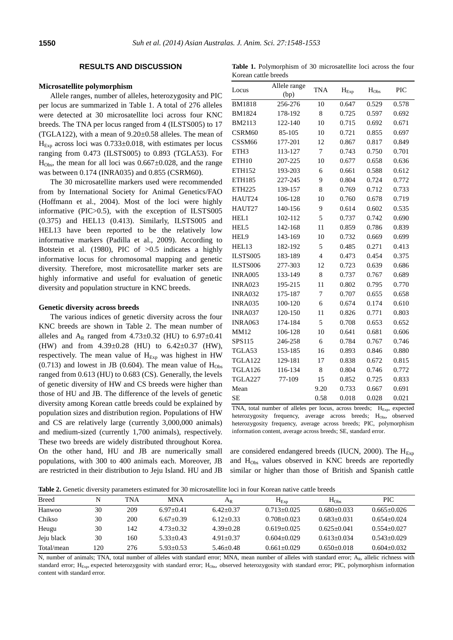# **RESULTS AND DISCUSSION**

## **Microsatellite polymorphism**

Allele ranges, number of alleles, heterozygosity and PIC per locus are summarized in Table 1. A total of 276 alleles were detected at 30 microsatellite loci across four KNC breeds. The TNA per locus ranged from 4 (ILSTS005) to 17 (TGLA122), with a mean of  $9.20 \pm 0.58$  alleles. The mean of  $H_{Exp}$  across loci was  $0.733 \pm 0.018$ , with estimates per locus ranging from 0.473 (ILSTS005) to 0.893 (TGLA53). For  $H<sub>Obs</sub>$ , the mean for all loci was  $0.667 \pm 0.028$ , and the range was between 0.174 (INRA035) and 0.855 (CSRM60).

The 30 microsatellite markers used were recommended from by International Society for Animal Genetics/FAO (Hoffmann et al., 2004). Most of the loci were highly informative (PIC>0.5), with the exception of ILSTS005 (0.375) and HEL13 (0.413). Similarly, ILSTS005 and HEL13 have been reported to be the relatively low informative markers (Padilla et al., 2009). According to Botstein et al. (1980), PIC of >0.5 indicates a highly informative locus for chromosomal mapping and genetic diversity. Therefore, most microsatellite marker sets are highly informative and useful for evaluation of genetic diversity and population structure in KNC breeds.

#### **Genetic diversity across breeds**

The various indices of genetic diversity across the four KNC breeds are shown in Table 2. The mean number of alleles and  $A_R$  ranged from 4.73±0.32 (HU) to 6.97±0.41 (HW) and from 4.39±0.28 (HU) to 6.42±0.37 (HW), respectively. The mean value of  $H_{Exp}$  was highest in HW  $(0.713)$  and lowest in JB  $(0.604)$ . The mean value of H<sub>Obs</sub> ranged from 0.613 (HU) to 0.683 (CS). Generally, the levels of genetic diversity of HW and CS breeds were higher than those of HU and JB. The difference of the levels of genetic diversity among Korean cattle breeds could be explained by population sizes and distribution region. Populations of HW and CS are relatively large (currently 3,000,000 animals) and medium-sized (currently 1,700 animals), respectively. These two breeds are widely distributed throughout Korea. On the other hand, HU and JB are numerically small populations, with 300 to 400 animals each. Moreover, JB are restricted in their distribution to Jeju Island. HU and JB

**Table 1.** Polymorphism of 30 microsatellite loci across the four Korean cattle breeds

| (bp)<br><b>BM1818</b><br>0.529<br>0.578<br>256-276<br>10<br>0.647<br>8<br>0.725<br>0.597<br>0.692<br>178-192<br>122-140<br>10<br>0.715<br>0.692<br>0.671<br>85-105<br>10<br>0.721<br>0.855<br>0.697<br>177-201<br>12<br>0.867<br>0.849<br>0.817<br>113-127<br>7<br>0.743<br>0.750<br>0.701<br>10<br>207-225<br>0.677<br>0.658<br>0.636<br>193-203<br>6<br>0.661<br>0.588<br>0.612<br>227-245<br>9<br>0.804<br>0.724<br>0.772<br>8<br>139-157<br>0.769<br>0.712<br>0.733<br>106-128<br>10<br>0.760<br>0.678<br>0.719<br>140-156<br>9<br>0.614<br>0.602<br>0.535<br>5<br>0.737<br>0.742<br>0.690<br>102-112<br>142-168<br>11<br>0.859<br>0.786<br>0.839<br>143-169<br>10<br>0.669<br>0.699<br>0.732<br>182-192<br>5<br>0.485<br>0.271<br>0.413<br>$\overline{4}$<br>0.454<br>0.375<br>183-189<br>0.473<br>277-303<br>12<br>0.723<br>0.639<br>0.686<br>8<br>0.767<br>133-149<br>0.737<br>0.689<br>11<br>195-215<br>0.802<br>0.795<br>0.770<br>175-187<br>7<br>0.707<br>0.655<br>0.658<br>6<br>0.674<br>0.610<br>100-120<br>0.174<br>11<br>0.826<br>0.771<br>0.803<br>120-150<br>5<br>174-184<br>0.708<br>0.653<br>0.652<br>10<br>106-128<br>0.641<br>0.681<br>0.606<br>246-258<br>6<br>0.784<br>0.767<br>0.746<br>153-185<br>16<br>0.893<br>0.846<br>0.880<br>0.838<br>0.672<br>129-181<br>17<br>0.815<br>8<br>0.804<br>0.746<br>0.772<br>116-134<br>77-109<br>0.725<br>0.833<br>15<br>0.852<br>0.691<br>9.20<br>0.733<br>0.667<br>0.58<br>0.018<br>0.028<br>0.021 | Locus          | Allele range | <b>TNA</b> | $H_{\text{Exp}}$ | $H_{Obs}$ | PIC |
|-----------------------------------------------------------------------------------------------------------------------------------------------------------------------------------------------------------------------------------------------------------------------------------------------------------------------------------------------------------------------------------------------------------------------------------------------------------------------------------------------------------------------------------------------------------------------------------------------------------------------------------------------------------------------------------------------------------------------------------------------------------------------------------------------------------------------------------------------------------------------------------------------------------------------------------------------------------------------------------------------------------------------------------------------------------------------------------------------------------------------------------------------------------------------------------------------------------------------------------------------------------------------------------------------------------------------------------------------------------------------------------------------------------------------------------------------------------------|----------------|--------------|------------|------------------|-----------|-----|
|                                                                                                                                                                                                                                                                                                                                                                                                                                                                                                                                                                                                                                                                                                                                                                                                                                                                                                                                                                                                                                                                                                                                                                                                                                                                                                                                                                                                                                                                 |                |              |            |                  |           |     |
|                                                                                                                                                                                                                                                                                                                                                                                                                                                                                                                                                                                                                                                                                                                                                                                                                                                                                                                                                                                                                                                                                                                                                                                                                                                                                                                                                                                                                                                                 |                |              |            |                  |           |     |
|                                                                                                                                                                                                                                                                                                                                                                                                                                                                                                                                                                                                                                                                                                                                                                                                                                                                                                                                                                                                                                                                                                                                                                                                                                                                                                                                                                                                                                                                 | <b>BM1824</b>  |              |            |                  |           |     |
|                                                                                                                                                                                                                                                                                                                                                                                                                                                                                                                                                                                                                                                                                                                                                                                                                                                                                                                                                                                                                                                                                                                                                                                                                                                                                                                                                                                                                                                                 | BM2113         |              |            |                  |           |     |
|                                                                                                                                                                                                                                                                                                                                                                                                                                                                                                                                                                                                                                                                                                                                                                                                                                                                                                                                                                                                                                                                                                                                                                                                                                                                                                                                                                                                                                                                 | CSRM60         |              |            |                  |           |     |
|                                                                                                                                                                                                                                                                                                                                                                                                                                                                                                                                                                                                                                                                                                                                                                                                                                                                                                                                                                                                                                                                                                                                                                                                                                                                                                                                                                                                                                                                 | CSSM66         |              |            |                  |           |     |
|                                                                                                                                                                                                                                                                                                                                                                                                                                                                                                                                                                                                                                                                                                                                                                                                                                                                                                                                                                                                                                                                                                                                                                                                                                                                                                                                                                                                                                                                 | ETH3           |              |            |                  |           |     |
|                                                                                                                                                                                                                                                                                                                                                                                                                                                                                                                                                                                                                                                                                                                                                                                                                                                                                                                                                                                                                                                                                                                                                                                                                                                                                                                                                                                                                                                                 | ETH10          |              |            |                  |           |     |
|                                                                                                                                                                                                                                                                                                                                                                                                                                                                                                                                                                                                                                                                                                                                                                                                                                                                                                                                                                                                                                                                                                                                                                                                                                                                                                                                                                                                                                                                 | ETH152         |              |            |                  |           |     |
|                                                                                                                                                                                                                                                                                                                                                                                                                                                                                                                                                                                                                                                                                                                                                                                                                                                                                                                                                                                                                                                                                                                                                                                                                                                                                                                                                                                                                                                                 | ETH185         |              |            |                  |           |     |
|                                                                                                                                                                                                                                                                                                                                                                                                                                                                                                                                                                                                                                                                                                                                                                                                                                                                                                                                                                                                                                                                                                                                                                                                                                                                                                                                                                                                                                                                 | <b>ETH225</b>  |              |            |                  |           |     |
|                                                                                                                                                                                                                                                                                                                                                                                                                                                                                                                                                                                                                                                                                                                                                                                                                                                                                                                                                                                                                                                                                                                                                                                                                                                                                                                                                                                                                                                                 | HAUT24         |              |            |                  |           |     |
|                                                                                                                                                                                                                                                                                                                                                                                                                                                                                                                                                                                                                                                                                                                                                                                                                                                                                                                                                                                                                                                                                                                                                                                                                                                                                                                                                                                                                                                                 | HAUT27         |              |            |                  |           |     |
|                                                                                                                                                                                                                                                                                                                                                                                                                                                                                                                                                                                                                                                                                                                                                                                                                                                                                                                                                                                                                                                                                                                                                                                                                                                                                                                                                                                                                                                                 | HEL1           |              |            |                  |           |     |
|                                                                                                                                                                                                                                                                                                                                                                                                                                                                                                                                                                                                                                                                                                                                                                                                                                                                                                                                                                                                                                                                                                                                                                                                                                                                                                                                                                                                                                                                 | HEL5           |              |            |                  |           |     |
|                                                                                                                                                                                                                                                                                                                                                                                                                                                                                                                                                                                                                                                                                                                                                                                                                                                                                                                                                                                                                                                                                                                                                                                                                                                                                                                                                                                                                                                                 | HEL9           |              |            |                  |           |     |
|                                                                                                                                                                                                                                                                                                                                                                                                                                                                                                                                                                                                                                                                                                                                                                                                                                                                                                                                                                                                                                                                                                                                                                                                                                                                                                                                                                                                                                                                 | HEL13          |              |            |                  |           |     |
|                                                                                                                                                                                                                                                                                                                                                                                                                                                                                                                                                                                                                                                                                                                                                                                                                                                                                                                                                                                                                                                                                                                                                                                                                                                                                                                                                                                                                                                                 | ILSTS005       |              |            |                  |           |     |
|                                                                                                                                                                                                                                                                                                                                                                                                                                                                                                                                                                                                                                                                                                                                                                                                                                                                                                                                                                                                                                                                                                                                                                                                                                                                                                                                                                                                                                                                 | ILSTS006       |              |            |                  |           |     |
|                                                                                                                                                                                                                                                                                                                                                                                                                                                                                                                                                                                                                                                                                                                                                                                                                                                                                                                                                                                                                                                                                                                                                                                                                                                                                                                                                                                                                                                                 | <b>INRA005</b> |              |            |                  |           |     |
|                                                                                                                                                                                                                                                                                                                                                                                                                                                                                                                                                                                                                                                                                                                                                                                                                                                                                                                                                                                                                                                                                                                                                                                                                                                                                                                                                                                                                                                                 | <b>INRA023</b> |              |            |                  |           |     |
|                                                                                                                                                                                                                                                                                                                                                                                                                                                                                                                                                                                                                                                                                                                                                                                                                                                                                                                                                                                                                                                                                                                                                                                                                                                                                                                                                                                                                                                                 | <b>INRA032</b> |              |            |                  |           |     |
|                                                                                                                                                                                                                                                                                                                                                                                                                                                                                                                                                                                                                                                                                                                                                                                                                                                                                                                                                                                                                                                                                                                                                                                                                                                                                                                                                                                                                                                                 | <b>INRA035</b> |              |            |                  |           |     |
|                                                                                                                                                                                                                                                                                                                                                                                                                                                                                                                                                                                                                                                                                                                                                                                                                                                                                                                                                                                                                                                                                                                                                                                                                                                                                                                                                                                                                                                                 | <b>INRA037</b> |              |            |                  |           |     |
|                                                                                                                                                                                                                                                                                                                                                                                                                                                                                                                                                                                                                                                                                                                                                                                                                                                                                                                                                                                                                                                                                                                                                                                                                                                                                                                                                                                                                                                                 | <b>INRA063</b> |              |            |                  |           |     |
|                                                                                                                                                                                                                                                                                                                                                                                                                                                                                                                                                                                                                                                                                                                                                                                                                                                                                                                                                                                                                                                                                                                                                                                                                                                                                                                                                                                                                                                                 | MM12           |              |            |                  |           |     |
|                                                                                                                                                                                                                                                                                                                                                                                                                                                                                                                                                                                                                                                                                                                                                                                                                                                                                                                                                                                                                                                                                                                                                                                                                                                                                                                                                                                                                                                                 | SPS115         |              |            |                  |           |     |
|                                                                                                                                                                                                                                                                                                                                                                                                                                                                                                                                                                                                                                                                                                                                                                                                                                                                                                                                                                                                                                                                                                                                                                                                                                                                                                                                                                                                                                                                 | TGLA53         |              |            |                  |           |     |
|                                                                                                                                                                                                                                                                                                                                                                                                                                                                                                                                                                                                                                                                                                                                                                                                                                                                                                                                                                                                                                                                                                                                                                                                                                                                                                                                                                                                                                                                 | <b>TGLA122</b> |              |            |                  |           |     |
|                                                                                                                                                                                                                                                                                                                                                                                                                                                                                                                                                                                                                                                                                                                                                                                                                                                                                                                                                                                                                                                                                                                                                                                                                                                                                                                                                                                                                                                                 | TGLA126        |              |            |                  |           |     |
|                                                                                                                                                                                                                                                                                                                                                                                                                                                                                                                                                                                                                                                                                                                                                                                                                                                                                                                                                                                                                                                                                                                                                                                                                                                                                                                                                                                                                                                                 | TGLA227        |              |            |                  |           |     |
|                                                                                                                                                                                                                                                                                                                                                                                                                                                                                                                                                                                                                                                                                                                                                                                                                                                                                                                                                                                                                                                                                                                                                                                                                                                                                                                                                                                                                                                                 | Mean           |              |            |                  |           |     |
|                                                                                                                                                                                                                                                                                                                                                                                                                                                                                                                                                                                                                                                                                                                                                                                                                                                                                                                                                                                                                                                                                                                                                                                                                                                                                                                                                                                                                                                                 | SE             |              |            |                  |           |     |

TNA, total number of alleles per locus, across breeds; H<sub>Exp</sub>, expected heterozygosity frequency, average across breeds; H<sub>Obs</sub>, observed heterozygosity frequency, average across breeds; PIC, polymorphism information content, average across breeds; SE, standard error.

are considered endangered breeds (IUCN, 2000). The  $H_{Exp}$ and H<sub>Obs</sub> values observed in KNC breeds are reportedly similar or higher than those of British and Spanish cattle

**Table 2.** Genetic diversity parameters estimated for 30 microsatellite loci in four Korean native cattle breeds

| <b>THOICE</b> CONCRETE OF CHOICE DIMENSION COMMUNICATION TO HISTORICHILE TOWER INSTRUMENTS CHILIC OFCERS |     |     |               |               |                 |                 |                 |
|----------------------------------------------------------------------------------------------------------|-----|-----|---------------|---------------|-----------------|-----------------|-----------------|
| <b>Breed</b>                                                                                             | N   | TNA | <b>MNA</b>    | $A_{R}$       | $H_{Exp}$       | $H_{Obs}$       | PIC             |
| Hanwoo                                                                                                   | 30  | 209 | $6.97+0.41$   | $6.42+0.37$   | $0.713+0.025$   | $0.680 + 0.033$ | $0.665+0.026$   |
| Chikso                                                                                                   | 30  | 200 | $6.67+0.39$   | $6.12+0.33$   | $0.708 + 0.023$ | $0.683+0.031$   | $0.654+0.024$   |
| Heugu                                                                                                    | 30  | 142 | $4.73 + 0.32$ | $4.39 + 0.28$ | $0.619 + 0.025$ | $0.625 + 0.041$ | $0.554 + 0.027$ |
| Jeju black                                                                                               | 30  | 160 | $5.33 + 0.43$ | $4.91 + 0.37$ | $0.604 + 0.029$ | $0.613 + 0.034$ | $0.543 + 0.029$ |
| Total/mean                                                                                               | 120 | 276 | $5.93 + 0.53$ | $5.46 + 0.48$ | $0.661 + 0.029$ | $0.650+0.018$   | $0.604 + 0.032$ |

N, number of animals; TNA, total number of alleles with standard error; MNA, mean number of alleles with standard error; AR, allelic richness with standard error; H<sub>Exp</sub>, expected heterozygosity with standard error; H<sub>Obs</sub>, observed heterozygosity with standard error; PIC, polymorphism information content with standard error.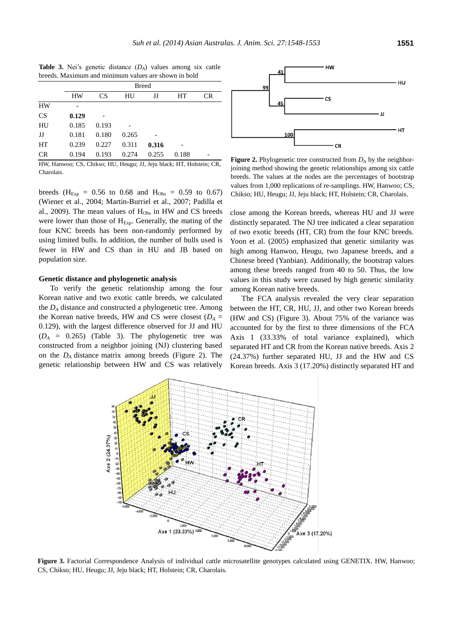|           |           | <b>Breed</b> |       |       |       |    |  |  |  |
|-----------|-----------|--------------|-------|-------|-------|----|--|--|--|
|           | <b>HW</b> | <b>CS</b>    | HU    | JJ    | HТ    | CR |  |  |  |
| <b>HW</b> |           |              |       |       |       |    |  |  |  |
| <b>CS</b> | 0.129     |              |       |       |       |    |  |  |  |
| HU        | 0.185     | 0.193        |       |       |       |    |  |  |  |
| JJ        | 0.181     | 0.180        | 0.265 |       |       |    |  |  |  |
| HT        | 0.239     | 0.227        | 0.311 | 0.316 |       |    |  |  |  |
| CR        | 0.194     | 0.193        | 0.274 | 0.255 | 0.188 |    |  |  |  |

**Table 3.** Nei's genetic distance (*DA*) values among six cattle breeds. Maximum and minimum values are shown in bold

HW, Hanwoo; CS, Chikso; HU, Heugu; JJ, Jeju black; HT, Holstein; CR, Charolais.

breeds ( $H_{Exp} = 0.56$  to 0.68 and  $H_{Obs} = 0.59$  to 0.67) (Wiener et al., 2004; Martin-Burriel et al., 2007; Padilla et al., 2009). The mean values of  $H_{Obs}$  in HW and CS breeds were lower than those of  $H_{Exp}$ . Generally, the mating of the four KNC breeds has been non-randomly performed by using limited bulls. In addition, the number of bulls used is fewer in HW and CS than in HU and JB based on population size.

#### **Genetic distance and phylogenetic analysis**

To verify the genetic relationship among the four Korean native and two exotic cattle breeds, we calculated the *D<sup>A</sup>* distance and constructed a phylogenetic tree. Among the Korean native breeds, HW and CS were closest ( $D_A =$ 0.129), with the largest difference observed for JJ and HU  $(D_A = 0.265)$  (Table 3). The phylogenetic tree was constructed from a neighbor joining (NJ) clustering based on the *D<sup>A</sup>* distance matrix among breeds (Figure 2). The genetic relationship between HW and CS was relatively



**Figure 2.** Phylogenetic tree constructed from  $D_A$  by the neighborjoining method showing the genetic relationships among six cattle breeds. The values at the nodes are the percentages of bootstrap values from 1,000 replications of re-samplings. HW, Hanwoo; CS, Chikso; HU, Heugu; JJ, Jeju black; HT, Holstein; CR, Charolais.

close among the Korean breeds, whereas HU and JJ were distinctly separated. The NJ tree indicated a clear separation of two exotic breeds (HT, CR) from the four KNC breeds. Yoon et al. (2005) emphasized that genetic similarity was high among Hanwoo, Heugu, two Japanese breeds, and a Chinese breed (Yanbian). Additionally, the bootstrap values among these breeds ranged from 40 to 50. Thus, the low values in this study were caused by high genetic similarity among Korean native breeds.

The FCA analysis revealed the very clear separation between the HT, CR, HU, JJ, and other two Korean breeds (HW and CS) (Figure 3). About 75% of the variance was accounted for by the first to three dimensions of the FCA Axis 1 (33.33% of total variance explained), which separated HT and CR from the Korean native breeds. Axis 2 (24.37%) further separated HU, JJ and the HW and CS Korean breeds. Axis 3 (17.20%) distinctly separated HT and



Figure 3. Factorial Correspondence Analysis of individual cattle microsatellite genotypes calculated using GENETIX. HW, Hanwoo; CS, Chikso; HU, Heugu; JJ, Jeju black; HT, Holstein; CR, Charolais.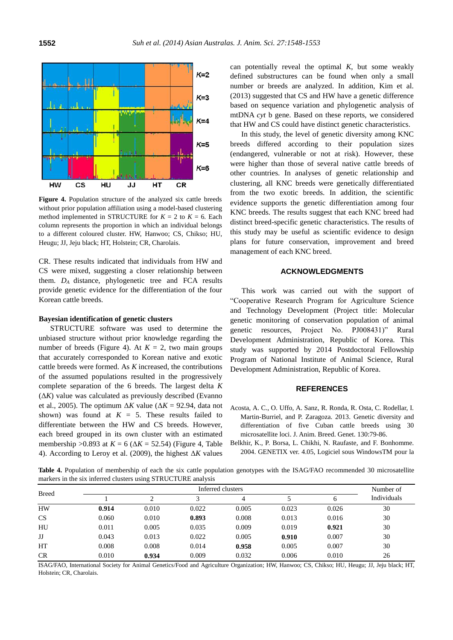

**Figure 4.** Population structure of the analyzed six cattle breeds without prior population affiliation using a model-based clustering method implemented in STRUCTURE for  $K = 2$  to  $K = 6$ . Each column represents the proportion in which an individual belongs to a different coloured cluster. HW, Hanwoo; CS, Chikso; HU, Heugu; JJ, Jeju black; HT, Holstein; CR, Charolais.

CR. These results indicated that individuals from HW and CS were mixed, suggesting a closer relationship between them. *D<sup>A</sup>* distance, phylogenetic tree and FCA results provide genetic evidence for the differentiation of the four Korean cattle breeds.

#### **Bayesian identification of genetic clusters**

STRUCTURE software was used to determine the unbiased structure without prior knowledge regarding the number of breeds (Figure 4). At  $K = 2$ , two main groups that accurately corresponded to Korean native and exotic cattle breeds were formed. As *K* increased, the contributions of the assumed populations resulted in the progressively complete separation of the 6 breeds. The largest delta *K*  $(\Delta K)$  value was calculated as previously described (Evanno et al., 2005). The optimum  $\Delta K$  value ( $\Delta K = 92.94$ , data not shown) was found at  $K = 5$ . These results failed to differentiate between the HW and CS breeds. However, each breed grouped in its own cluster with an estimated membership  $>0.893$  at  $K = 6$  ( $\Delta K = 52.54$ ) (Figure 4, Table 4). According to Leroy et al. (2009), the highest Δ*K* values

can potentially reveal the optimal *K*, but some weakly defined substructures can be found when only a small number or breeds are analyzed. In addition, Kim et al. (2013) suggested that CS and HW have a genetic difference based on sequence variation and phylogenetic analysis of mtDNA *cyt* b gene. Based on these reports, we considered that HW and CS could have distinct genetic characteristics.

In this study, the level of genetic diversity among KNC breeds differed according to their population sizes (endangered, vulnerable or not at risk). However, these were higher than those of several native cattle breeds of other countries. In analyses of genetic relationship and clustering, all KNC breeds were genetically differentiated from the two exotic breeds. In addition, the scientific evidence supports the genetic differentiation among four KNC breeds. The results suggest that each KNC breed had distinct breed-specific genetic characteristics. The results of this study may be useful as scientific evidence to design plans for future conservation, improvement and breed management of each KNC breed.

#### **ACKNOWLEDGMENTS**

This work was carried out with the support of "Cooperative Research Program for Agriculture Science and Technology Development (Project title: Molecular genetic monitoring of conservation population of animal genetic resources, Project No. PJ008431)" Rural Development Administration, Republic of Korea. This study was supported by 2014 Postdoctoral Fellowship Program of National Institute of Animal Science, Rural Development Administration, Republic of Korea.

## **REFERENCES**

- Acosta, A. C., O. Uffo, A. Sanz, R. Ronda, R. Osta, C. Rodellar, I. Martin-Burriel, and P. Zaragoza. 2013. [Genetic diversity and](http://onlinelibrary.wiley.com/doi/10.1111/j.1439-0388.2012.00988.x/full)  [differentiation of five Cuban cattle breeds using 30](http://onlinelibrary.wiley.com/doi/10.1111/j.1439-0388.2012.00988.x/full)  [microsatellite loci.](http://onlinelibrary.wiley.com/doi/10.1111/j.1439-0388.2012.00988.x/full) J. Anim. Breed. Genet. 130:79-86.
- Belkhir, K., P. Borsa, L. Chikhi, N. Raufaste, and F. Bonhomme. 2004. GENETIX ver. 4.05, Logiciel sous WindowsTM pour la

**Table 4.** Population of membership of each the six cattle population genotypes with the ISAG/FAO recommended 30 microsatellite markers in the six inferred clusters using STRUCTURE analysis

| <b>Breed</b> |       | Inferred clusters |       |       |       |       |             |
|--------------|-------|-------------------|-------|-------|-------|-------|-------------|
|              |       | ◠                 |       | 4     |       | h     | Individuals |
| <b>HW</b>    | 0.914 | 0.010             | 0.022 | 0.005 | 0.023 | 0.026 | 30          |
| <b>CS</b>    | 0.060 | 0.010             | 0.893 | 0.008 | 0.013 | 0.016 | 30          |
| HU           | 0.011 | 0.005             | 0.035 | 0.009 | 0.019 | 0.921 | 30          |
| IJ           | 0.043 | 0.013             | 0.022 | 0.005 | 0.910 | 0.007 | 30          |
| HT           | 0.008 | 0.008             | 0.014 | 0.958 | 0.005 | 0.007 | 30          |
| CR           | 0.010 | 0.934             | 0.009 | 0.032 | 0.006 | 0.010 | 26          |

ISAG/FAO, International Society for Animal Genetics/Food and Agriculture Organization; HW, Hanwoo; CS, Chikso; HU, Heugu; JJ, Jeju black; HT, Holstein; CR, Charolais.